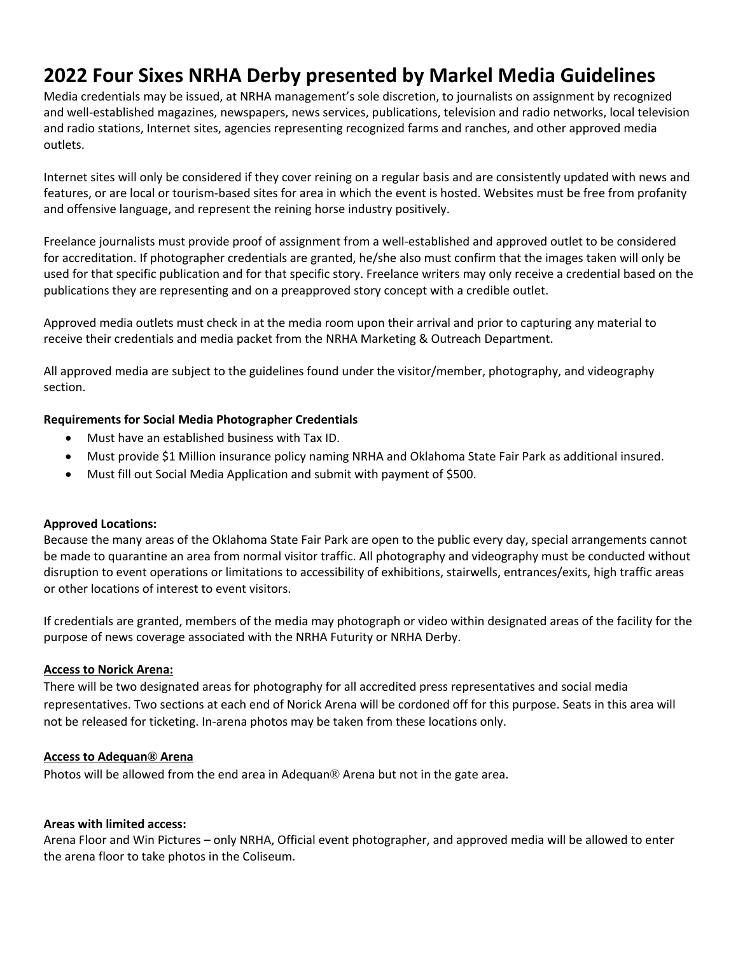# **2022 Four Sixes NRHA Derby presented by Markel Media Guidelines**

Media credentials may be issued, at NRHA management's sole discretion, to journalists on assignment by recognized and well-established magazines, newspapers, news services, publications, television and radio networks, local television and radio stations, Internet sites, agencies representing recognized farms and ranches, and other approved media outlets.

Internet sites will only be considered if they cover reining on a regular basis and are consistently updated with news and features, or are local or tourism-based sites for area in which the event is hosted. Websites must be free from profanity and offensive language, and represent the reining horse industry positively.

Freelance journalists must provide proof of assignment from a well-established and approved outlet to be considered for accreditation. If photographer credentials are granted, he/she also must confirm that the images taken will only be used for that specific publication and for that specific story. Freelance writers may only receive a credential based on the publications they are representing and on a preapproved story concept with a credible outlet.

Approved media outlets must check in at the media room upon their arrival and prior to capturing any material to receive their credentials and media packet from the NRHA Marketing & Outreach Department.

All approved media are subject to the guidelines found under the visitor/member, photography, and videography section.

## **Requirements for Social Media Photographer Credentials**

- Must have an established business with Tax ID.
- Must provide \$1 Million insurance policy naming NRHA and Oklahoma State Fair Park as additional insured.
- Must fill out Social Media Application and submit with payment of \$500.

## **Approved Locations:**

Because the many areas of the Oklahoma State Fair Park are open to the public every day, special arrangements cannot be made to quarantine an area from normal visitor traffic. All photography and videography must be conducted without disruption to event operations or limitations to accessibility of exhibitions, stairwells, entrances/exits, high traffic areas or other locations of interest to event visitors.

If credentials are granted, members of the media may photograph or video within designated areas of the facility for the purpose of news coverage associated with the NRHA Futurity or NRHA Derby.

## **Access to Norick Arena:**

There will be two designated areas for photography for all accredited press representatives and social media representatives. Two sections at each end of Norick Arena will be cordoned off for this purpose. Seats in this area will not be released for ticketing. In-arena photos may be taken from these locations only.

## **Access to Adequan® Arena**

Photos will be allowed from the end area in Adequan® Arena but not in the gate area.

## **Areas with limited access:**

Arena Floor and Win Pictures – only NRHA, Official event photographer, and approved media will be allowed to enter the arena floor to take photos in the Coliseum.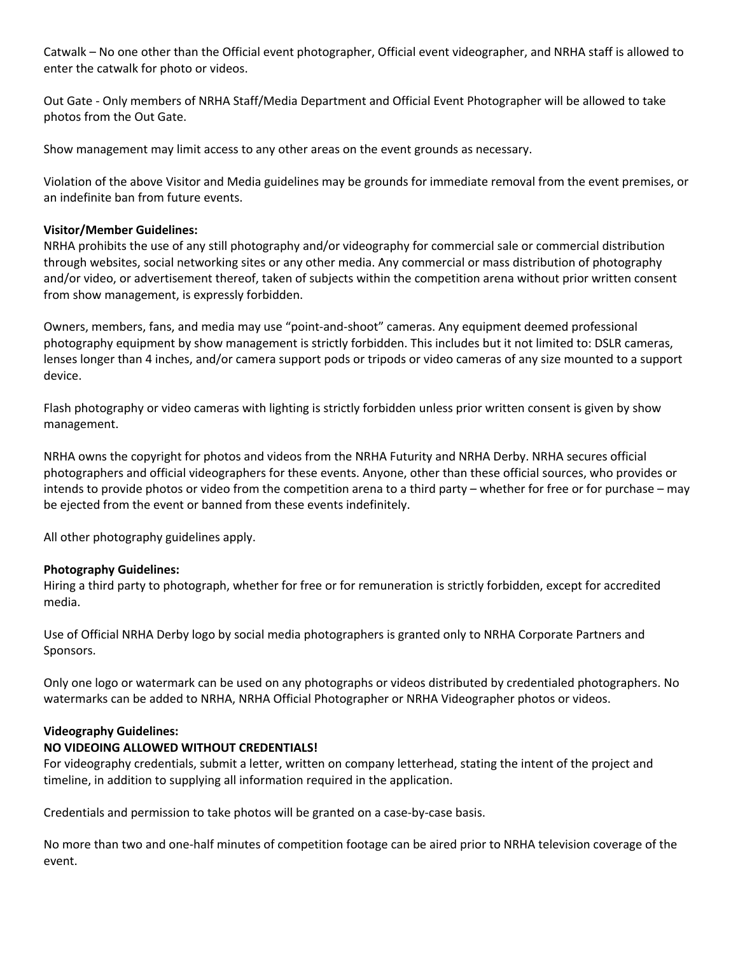Catwalk – No one other than the Official event photographer, Official event videographer, and NRHA staff is allowed to enter the catwalk for photo or videos.

Out Gate - Only members of NRHA Staff/Media Department and Official Event Photographer will be allowed to take photos from the Out Gate.

Show management may limit access to any other areas on the event grounds as necessary.

Violation of the above Visitor and Media guidelines may be grounds for immediate removal from the event premises, or an indefinite ban from future events.

## **Visitor/Member Guidelines:**

NRHA prohibits the use of any still photography and/or videography for commercial sale or commercial distribution through websites, social networking sites or any other media. Any commercial or mass distribution of photography and/or video, or advertisement thereof, taken of subjects within the competition arena without prior written consent from show management, is expressly forbidden.

Owners, members, fans, and media may use "point-and-shoot" cameras. Any equipment deemed professional photography equipment by show management is strictly forbidden. This includes but it not limited to: DSLR cameras, lenses longer than 4 inches, and/or camera support pods or tripods or video cameras of any size mounted to a support device.

Flash photography or video cameras with lighting is strictly forbidden unless prior written consent is given by show management.

NRHA owns the copyright for photos and videos from the NRHA Futurity and NRHA Derby. NRHA secures official photographers and official videographers for these events. Anyone, other than these official sources, who provides or intends to provide photos or video from the competition arena to a third party – whether for free or for purchase – may be ejected from the event or banned from these events indefinitely.

All other photography guidelines apply.

## **Photography Guidelines:**

Hiring a third party to photograph, whether for free or for remuneration is strictly forbidden, except for accredited media.

Use of Official NRHA Derby logo by social media photographers is granted only to NRHA Corporate Partners and Sponsors.

Only one logo or watermark can be used on any photographs or videos distributed by credentialed photographers. No watermarks can be added to NRHA, NRHA Official Photographer or NRHA Videographer photos or videos.

## **Videography Guidelines:**

## **NO VIDEOING ALLOWED WITHOUT CREDENTIALS!**

For videography credentials, submit a letter, written on company letterhead, stating the intent of the project and timeline, in addition to supplying all information required in the application.

Credentials and permission to take photos will be granted on a case-by-case basis.

No more than two and one-half minutes of competition footage can be aired prior to NRHA television coverage of the event.